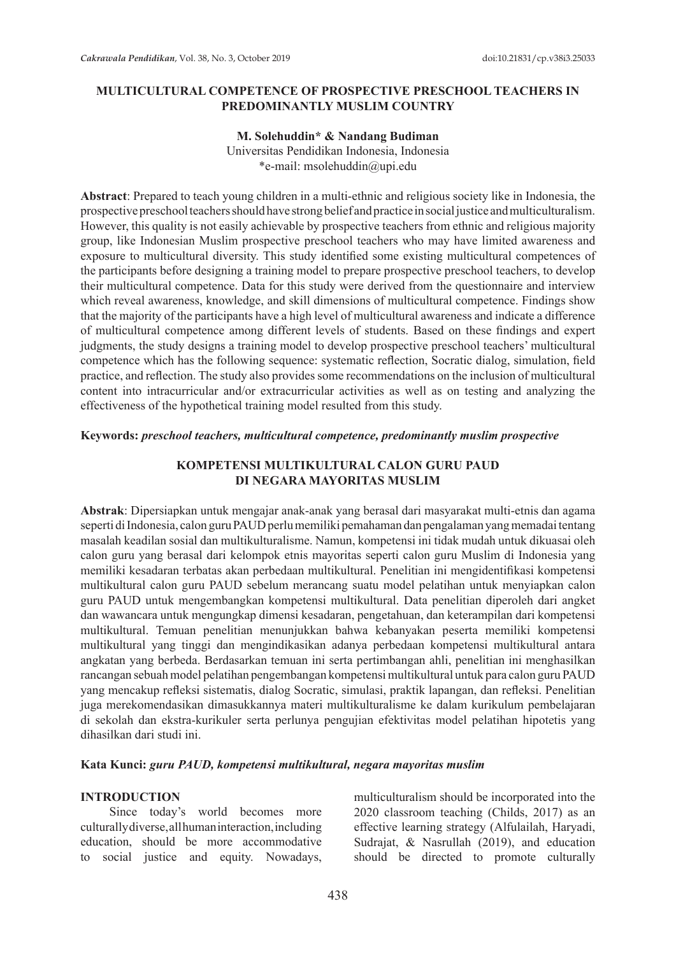### **MULTICULTURAL COMPETENCE OF PROSPECTIVE PRESCHOOL TEACHERS IN PREDOMINANTLY MUSLIM COUNTRY**

#### **M. Solehuddin\* & Nandang Budiman**

Universitas Pendidikan Indonesia, Indonesia \*e-mail: msolehuddin@upi.edu

**Abstract**: Prepared to teach young children in a multi-ethnic and religious society like in Indonesia, the prospective preschool teachers should have strong belief and practice in social justice and multiculturalism. However, this quality is not easily achievable by prospective teachers from ethnic and religious majority group, like Indonesian Muslim prospective preschool teachers who may have limited awareness and exposure to multicultural diversity. This study identified some existing multicultural competences of the participants before designing a training model to prepare prospective preschool teachers, to develop their multicultural competence. Data for this study were derived from the questionnaire and interview which reveal awareness, knowledge, and skill dimensions of multicultural competence. Findings show that the majority of the participants have a high level of multicultural awareness and indicate a difference of multicultural competence among different levels of students. Based on these findings and expert judgments, the study designs a training model to develop prospective preschool teachers' multicultural competence which has the following sequence: systematic reflection, Socratic dialog, simulation, field practice, and reflection. The study also provides some recommendations on the inclusion of multicultural content into intracurricular and/or extracurricular activities as well as on testing and analyzing the effectiveness of the hypothetical training model resulted from this study.

#### **Keywords:** *preschool teachers, multicultural competence, predominantly muslim prospective*

## **KOMPETENSI MULTIKULTURAL CALON GURU PAUD DI NEGARA MAYORITAS MUSLIM**

**Abstrak**: Dipersiapkan untuk mengajar anak-anak yang berasal dari masyarakat multi-etnis dan agama seperti di Indonesia, calon guru PAUD perlu memiliki pemahaman dan pengalaman yang memadai tentang masalah keadilan sosial dan multikulturalisme. Namun, kompetensi ini tidak mudah untuk dikuasai oleh calon guru yang berasal dari kelompok etnis mayoritas seperti calon guru Muslim di Indonesia yang memiliki kesadaran terbatas akan perbedaan multikultural. Penelitian ini mengidentifikasi kompetensi multikultural calon guru PAUD sebelum merancang suatu model pelatihan untuk menyiapkan calon guru PAUD untuk mengembangkan kompetensi multikultural. Data penelitian diperoleh dari angket dan wawancara untuk mengungkap dimensi kesadaran, pengetahuan, dan keterampilan dari kompetensi multikultural. Temuan penelitian menunjukkan bahwa kebanyakan peserta memiliki kompetensi multikultural yang tinggi dan mengindikasikan adanya perbedaan kompetensi multikultural antara angkatan yang berbeda. Berdasarkan temuan ini serta pertimbangan ahli, penelitian ini menghasilkan rancangan sebuah model pelatihan pengembangan kompetensi multikultural untuk para calon guru PAUD yang mencakup refleksi sistematis, dialog Socratic, simulasi, praktik lapangan, dan refleksi. Penelitian juga merekomendasikan dimasukkannya materi multikulturalisme ke dalam kurikulum pembelajaran di sekolah dan ekstra-kurikuler serta perlunya pengujian efektivitas model pelatihan hipotetis yang dihasilkan dari studi ini.

### **Kata Kunci:** *guru PAUD, kompetensi multikultural, negara mayoritas muslim*

#### **INTRODUCTION**

Since today's world becomes more culturally diverse, all human interaction, including education, should be more accommodative to social justice and equity. Nowadays, multiculturalism should be incorporated into the 2020 classroom teaching (Childs, 2017) as an effective learning strategy (Alfulailah, Haryadi, Sudrajat, & Nasrullah (2019), and education should be directed to promote culturally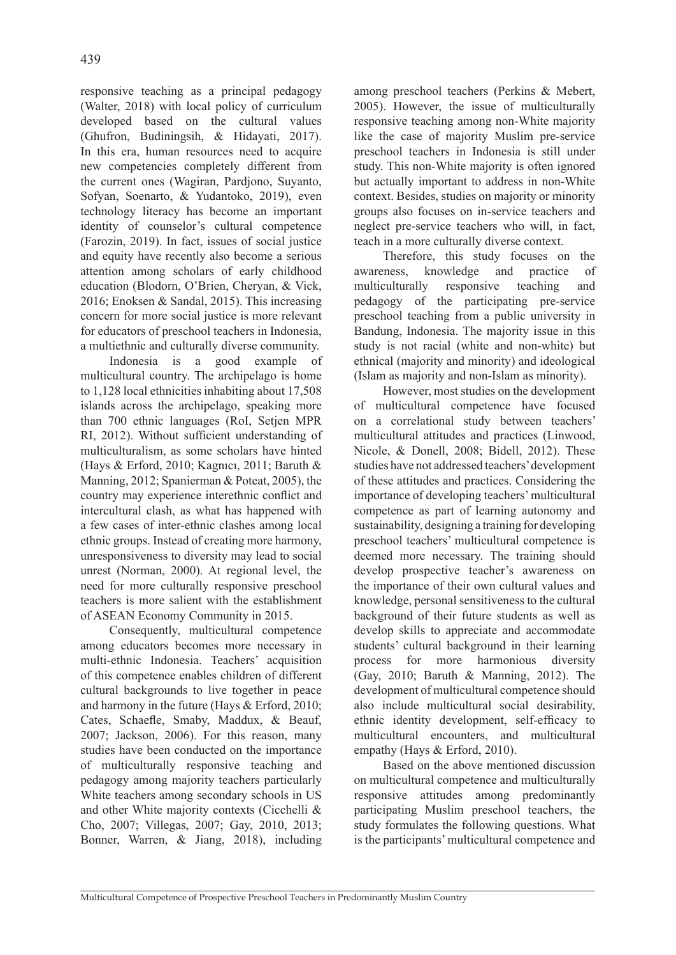responsive teaching as a principal pedagogy (Walter, 2018) with local policy of curriculum developed based on the cultural values (Ghufron, Budiningsih, & Hidayati, 2017). In this era, human resources need to acquire new competencies completely different from the current ones (Wagiran, Pardjono, Suyanto, Sofyan, Soenarto, & Yudantoko, 2019), even technology literacy has become an important identity of counselor's cultural competence (Farozin, 2019). In fact, issues of social justice and equity have recently also become a serious attention among scholars of early childhood education (Blodorn, O'Brien, Cheryan, & Vick, 2016; Enoksen & Sandal, 2015). This increasing concern for more social justice is more relevant for educators of preschool teachers in Indonesia, a multiethnic and culturally diverse community.

Indonesia is a good example of multicultural country. The archipelago is home to 1,128 local ethnicities inhabiting about 17,508 islands across the archipelago, speaking more than 700 ethnic languages (RoI, Setjen MPR RI, 2012). Without sufficient understanding of multiculturalism, as some scholars have hinted (Hays & Erford, 2010; Kagnıcı, 2011; Baruth & Manning, 2012; Spanierman & Poteat, 2005), the country may experience interethnic conflict and intercultural clash, as what has happened with a few cases of inter-ethnic clashes among local ethnic groups. Instead of creating more harmony, unresponsiveness to diversity may lead to social unrest (Norman, 2000). At regional level, the need for more culturally responsive preschool teachers is more salient with the establishment of ASEAN Economy Community in 2015.

Consequently, multicultural competence among educators becomes more necessary in multi-ethnic Indonesia. Teachers' acquisition of this competence enables children of different cultural backgrounds to live together in peace and harmony in the future (Hays & Erford, 2010; Cates, Schaefle, Smaby, Maddux, & Beauf, 2007; Jackson, 2006). For this reason, many studies have been conducted on the importance of multiculturally responsive teaching and pedagogy among majority teachers particularly White teachers among secondary schools in US and other White majority contexts (Cicchelli & Cho, 2007; Villegas, 2007; Gay, 2010, 2013; Bonner, Warren, & Jiang, 2018), including among preschool teachers (Perkins & Mebert, 2005). However, the issue of multiculturally responsive teaching among non-White majority like the case of majority Muslim pre-service preschool teachers in Indonesia is still under study. This non-White majority is often ignored but actually important to address in non-White context. Besides, studies on majority or minority groups also focuses on in-service teachers and neglect pre-service teachers who will, in fact, teach in a more culturally diverse context.

Therefore, this study focuses on the awareness, knowledge and practice of multiculturally responsive teaching and pedagogy of the participating pre-service preschool teaching from a public university in Bandung, Indonesia. The majority issue in this study is not racial (white and non-white) but ethnical (majority and minority) and ideological (Islam as majority and non-Islam as minority).

However, most studies on the development of multicultural competence have focused on a correlational study between teachers' multicultural attitudes and practices (Linwood, Nicole, & Donell, 2008; Bidell, 2012). These studies have not addressed teachers' development of these attitudes and practices. Considering the importance of developing teachers' multicultural competence as part of learning autonomy and sustainability, designing a training for developing preschool teachers' multicultural competence is deemed more necessary. The training should develop prospective teacher's awareness on the importance of their own cultural values and knowledge, personal sensitiveness to the cultural background of their future students as well as develop skills to appreciate and accommodate students' cultural background in their learning process for more harmonious diversity (Gay, 2010; Baruth & Manning, 2012). The development of multicultural competence should also include multicultural social desirability, ethnic identity development, self-efficacy to multicultural encounters, and multicultural empathy (Hays & Erford, 2010).

Based on the above mentioned discussion on multicultural competence and multiculturally responsive attitudes among predominantly participating Muslim preschool teachers, the study formulates the following questions. What is the participants' multicultural competence and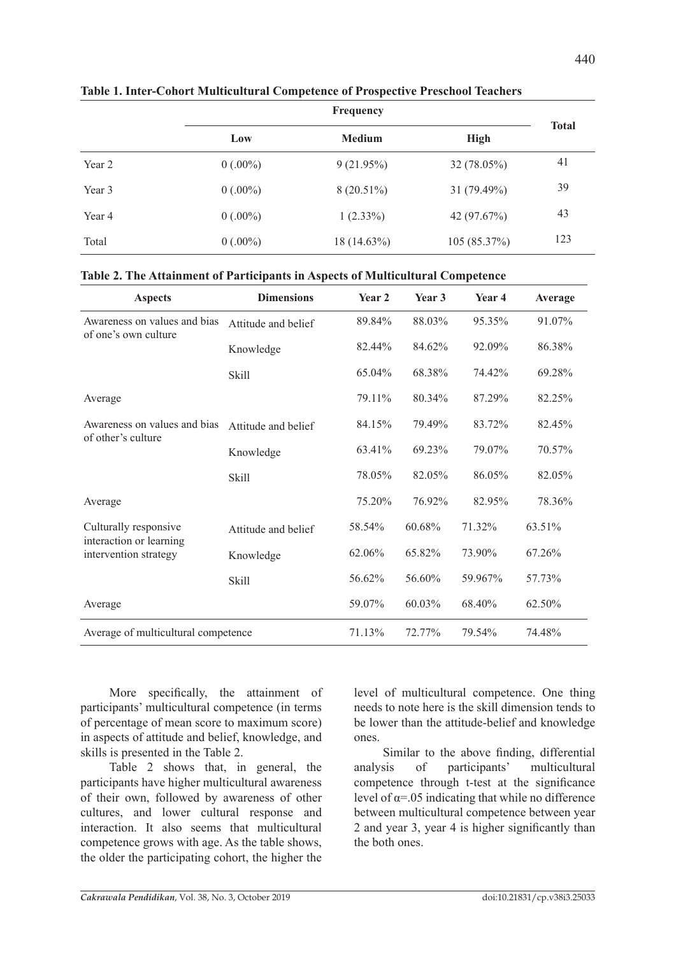|        | Low        | <b>Medium</b> | <b>High</b> | <b>Total</b> |  |
|--------|------------|---------------|-------------|--------------|--|
| Year 2 | $0(.00\%)$ | 9(21.95%)     | 32 (78.05%) | 41           |  |
| Year 3 | $0(.00\%)$ | $8(20.51\%)$  | 31 (79.49%) | 39           |  |
| Year 4 | $0(.00\%)$ | $1(2.33\%)$   | 42 (97.67%) | 43           |  |
| Total  | $0(.00\%)$ | 18 (14.63%)   | 105(85.37%) | 123          |  |

**Table 1. Inter-Cohort Multicultural Competence of Prospective Preschool Teachers** 

| Table 2. The Attainment of Participants in Aspects of Multicultural Competence |  |  |
|--------------------------------------------------------------------------------|--|--|
|                                                                                |  |  |

| <b>Aspects</b>                                       | <b>Dimensions</b>   | Year <sub>2</sub> | Year <sub>3</sub> | Year <sub>4</sub> | Average |
|------------------------------------------------------|---------------------|-------------------|-------------------|-------------------|---------|
| Awareness on values and bias<br>of one's own culture | Attitude and belief | 89.84%            | 88.03%            | 95.35%            | 91.07%  |
|                                                      | Knowledge           | 82.44%            | 84.62%            | 92.09%            | 86.38%  |
|                                                      | <b>Skill</b>        | 65.04%            | 68.38%            | 74.42%            | 69.28%  |
| Average                                              |                     | 79.11%            | 80.34%            | 87.29%            | 82.25%  |
| Awareness on values and bias<br>of other's culture   | Attitude and belief | 84.15%            | 79.49%            | 83.72%            | 82.45%  |
|                                                      | Knowledge           | 63.41%            | 69.23%            | 79.07%            | 70.57%  |
|                                                      | <b>Skill</b>        | 78.05%            | 82.05%            | 86.05%            | 82.05%  |
| Average                                              |                     | 75.20%            | 76.92%            | 82.95%            | 78.36%  |
| Culturally responsive<br>interaction or learning     | Attitude and belief | 58.54%            | 60.68%            | 71.32%            | 63.51%  |
| intervention strategy                                | Knowledge           | 62.06%            | 65.82%            | 73.90%            | 67.26%  |
|                                                      | <b>Skill</b>        | 56.62%            | 56.60%            | 59.967%           | 57.73%  |
| Average                                              |                     | 59.07%            | 60.03%            | 68.40%            | 62.50%  |
| Average of multicultural competence                  |                     | 71.13%            | 72.77%            | 79.54%            | 74.48%  |

More specifically, the attainment of participants' multicultural competence (in terms of percentage of mean score to maximum score) in aspects of attitude and belief, knowledge, and skills is presented in the Table 2.

Table 2 shows that, in general, the participants have higher multicultural awareness of their own, followed by awareness of other cultures, and lower cultural response and interaction. It also seems that multicultural competence grows with age. As the table shows, the older the participating cohort, the higher the level of multicultural competence. One thing needs to note here is the skill dimension tends to be lower than the attitude-belief and knowledge ones.

Similar to the above finding, differential analysis of participants' multicultural competence through t-test at the significance level of  $\alpha$ =.05 indicating that while no difference between multicultural competence between year 2 and year 3, year 4 is higher significantly than the both ones.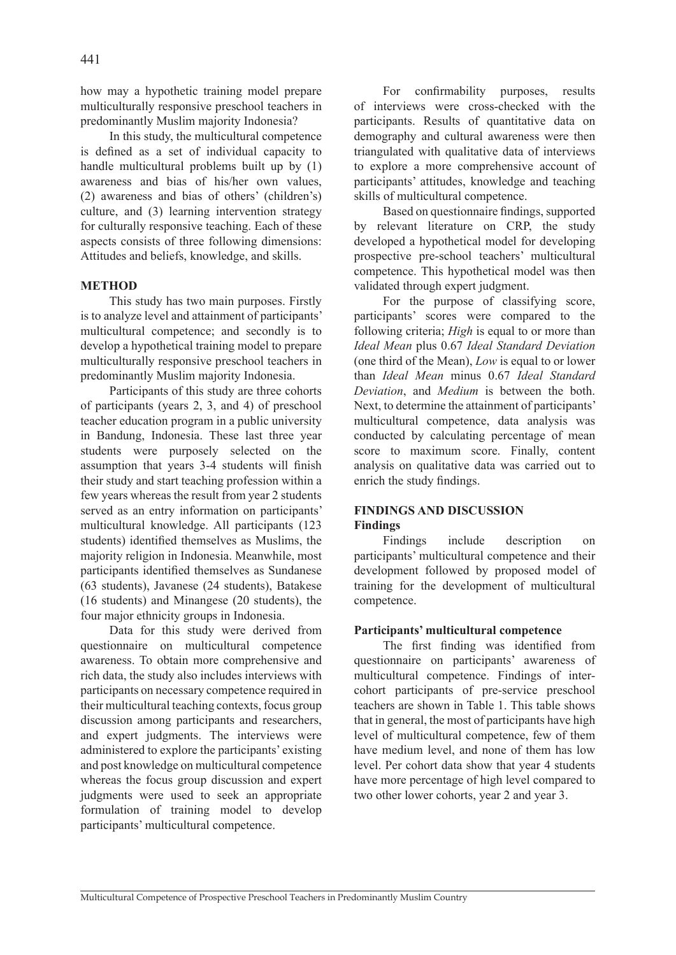how may a hypothetic training model prepare multiculturally responsive preschool teachers in predominantly Muslim majority Indonesia?

In this study, the multicultural competence is defined as a set of individual capacity to handle multicultural problems built up by (1) awareness and bias of his/her own values, (2) awareness and bias of others' (children's) culture, and (3) learning intervention strategy for culturally responsive teaching. Each of these aspects consists of three following dimensions: Attitudes and beliefs, knowledge, and skills.

## **METHOD**

This study has two main purposes. Firstly is to analyze level and attainment of participants' multicultural competence; and secondly is to develop a hypothetical training model to prepare multiculturally responsive preschool teachers in predominantly Muslim majority Indonesia.

Participants of this study are three cohorts of participants (years 2, 3, and 4) of preschool teacher education program in a public university in Bandung, Indonesia. These last three year students were purposely selected on the assumption that years 3-4 students will finish their study and start teaching profession within a few years whereas the result from year 2 students served as an entry information on participants' multicultural knowledge. All participants (123 students) identified themselves as Muslims, the majority religion in Indonesia. Meanwhile, most participants identified themselves as Sundanese (63 students), Javanese (24 students), Batakese (16 students) and Minangese (20 students), the four major ethnicity groups in Indonesia.

Data for this study were derived from questionnaire on multicultural competence awareness. To obtain more comprehensive and rich data, the study also includes interviews with participants on necessary competence required in their multicultural teaching contexts, focus group discussion among participants and researchers, and expert judgments. The interviews were administered to explore the participants' existing and post knowledge on multicultural competence whereas the focus group discussion and expert judgments were used to seek an appropriate formulation of training model to develop participants' multicultural competence.

For confirmability purposes, results of interviews were cross-checked with the participants. Results of quantitative data on demography and cultural awareness were then triangulated with qualitative data of interviews to explore a more comprehensive account of participants' attitudes, knowledge and teaching skills of multicultural competence.

Based on questionnaire findings, supported by relevant literature on CRP, the study developed a hypothetical model for developing prospective pre-school teachers' multicultural competence. This hypothetical model was then validated through expert judgment.

For the purpose of classifying score, participants' scores were compared to the following criteria; *High* is equal to or more than *Ideal Mean* plus 0.67 *Ideal Standard Deviation* (one third of the Mean), *Low* is equal to or lower than *Ideal Mean* minus 0.67 *Ideal Standard Deviation*, and *Medium* is between the both. Next, to determine the attainment of participants' multicultural competence, data analysis was conducted by calculating percentage of mean score to maximum score. Finally, content analysis on qualitative data was carried out to enrich the study findings.

## **FINDINGS AND DISCUSSION Findings**

Findings include description on participants' multicultural competence and their development followed by proposed model of training for the development of multicultural competence.

### **Participants' multicultural competence**

The first finding was identified from questionnaire on participants' awareness of multicultural competence. Findings of intercohort participants of pre-service preschool teachers are shown in Table 1. This table shows that in general, the most of participants have high level of multicultural competence, few of them have medium level, and none of them has low level. Per cohort data show that year 4 students have more percentage of high level compared to two other lower cohorts, year 2 and year 3.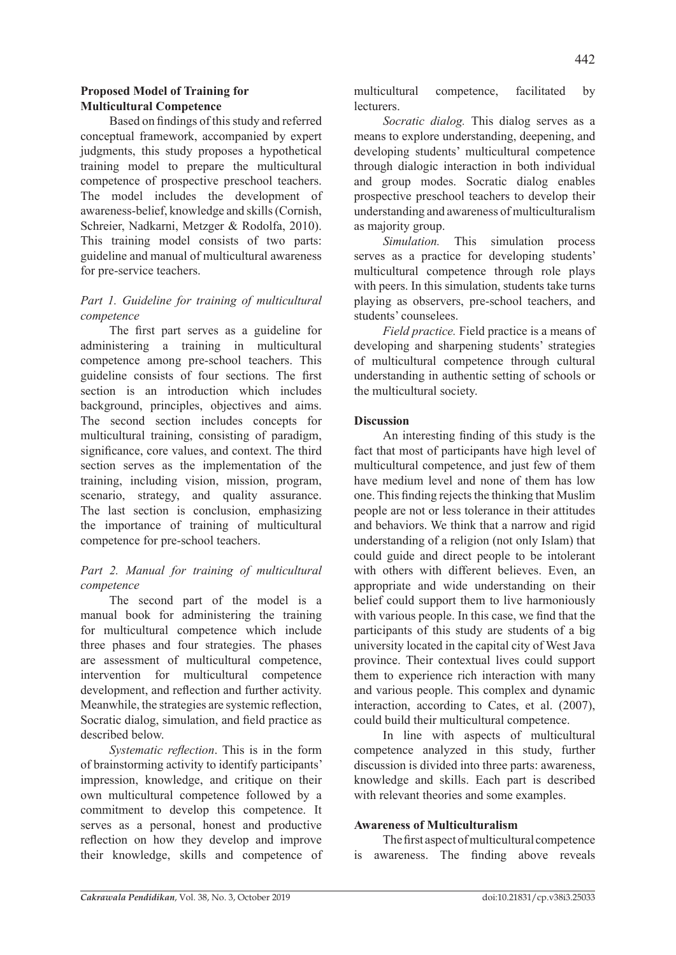# **Proposed Model of Training for Multicultural Competence**

Based on findings of this study and referred conceptual framework, accompanied by expert judgments, this study proposes a hypothetical training model to prepare the multicultural competence of prospective preschool teachers. The model includes the development of awareness-belief, knowledge and skills (Cornish, Schreier, Nadkarni, Metzger & Rodolfa, 2010). This training model consists of two parts: guideline and manual of multicultural awareness for pre-service teachers.

# *Part 1. Guideline for training of multicultural competence*

The first part serves as a guideline for administering a training in multicultural competence among pre-school teachers. This guideline consists of four sections. The first section is an introduction which includes background, principles, objectives and aims. The second section includes concepts for multicultural training, consisting of paradigm, significance, core values, and context. The third section serves as the implementation of the training, including vision, mission, program, scenario, strategy, and quality assurance. The last section is conclusion, emphasizing the importance of training of multicultural competence for pre-school teachers.

# *Part 2. Manual for training of multicultural competence*

The second part of the model is a manual book for administering the training for multicultural competence which include three phases and four strategies. The phases are assessment of multicultural competence, intervention for multicultural competence development, and reflection and further activity. Meanwhile, the strategies are systemic reflection, Socratic dialog, simulation, and field practice as described below.

*Systematic reflection*. This is in the form of brainstorming activity to identify participants' impression, knowledge, and critique on their own multicultural competence followed by a commitment to develop this competence. It serves as a personal, honest and productive reflection on how they develop and improve their knowledge, skills and competence of multicultural competence, facilitated by **lecturers** 

*Socratic dialog.* This dialog serves as a means to explore understanding, deepening, and developing students' multicultural competence through dialogic interaction in both individual and group modes. Socratic dialog enables prospective preschool teachers to develop their understanding and awareness of multiculturalism as majority group.

*Simulation.* This simulation process serves as a practice for developing students' multicultural competence through role plays with peers. In this simulation, students take turns playing as observers, pre-school teachers, and students' counselees.

*Field practice.* Field practice is a means of developing and sharpening students' strategies of multicultural competence through cultural understanding in authentic setting of schools or the multicultural society.

# **Discussion**

An interesting finding of this study is the fact that most of participants have high level of multicultural competence, and just few of them have medium level and none of them has low one. This finding rejects the thinking that Muslim people are not or less tolerance in their attitudes and behaviors. We think that a narrow and rigid understanding of a religion (not only Islam) that could guide and direct people to be intolerant with others with different believes. Even, an appropriate and wide understanding on their belief could support them to live harmoniously with various people. In this case, we find that the participants of this study are students of a big university located in the capital city of West Java province. Their contextual lives could support them to experience rich interaction with many and various people. This complex and dynamic interaction, according to Cates, et al. (2007), could build their multicultural competence.

In line with aspects of multicultural competence analyzed in this study, further discussion is divided into three parts: awareness, knowledge and skills. Each part is described with relevant theories and some examples.

# **Awareness of Multiculturalism**

The first aspect of multicultural competence is awareness. The finding above reveals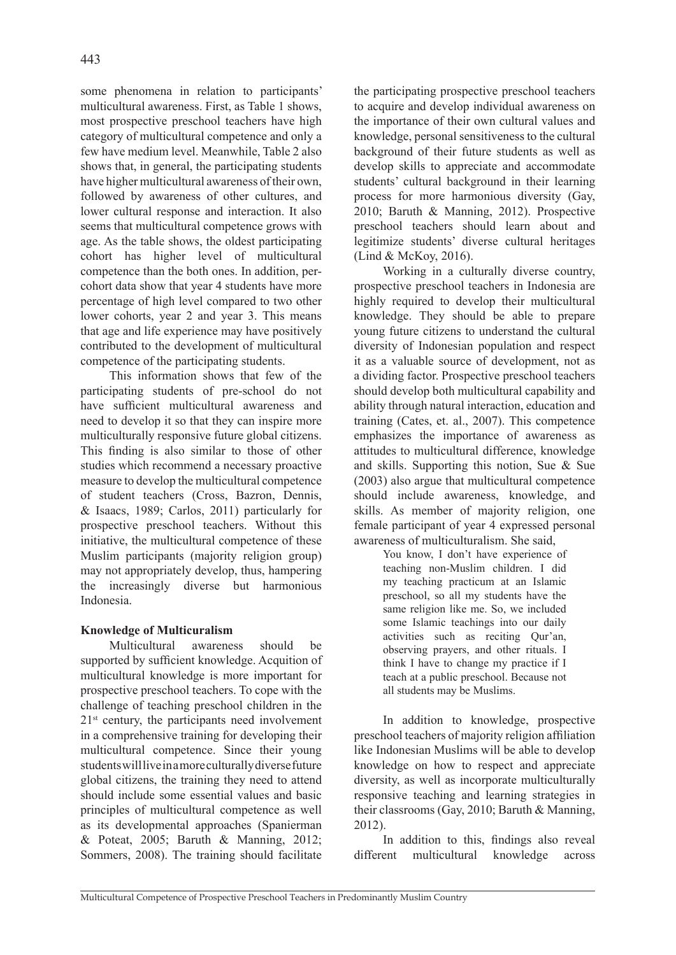some phenomena in relation to participants' multicultural awareness. First, as Table 1 shows, most prospective preschool teachers have high category of multicultural competence and only a few have medium level. Meanwhile, Table 2 also shows that, in general, the participating students have higher multicultural awareness of their own, followed by awareness of other cultures, and lower cultural response and interaction. It also seems that multicultural competence grows with age. As the table shows, the oldest participating cohort has higher level of multicultural competence than the both ones. In addition, percohort data show that year 4 students have more percentage of high level compared to two other lower cohorts, year 2 and year 3. This means that age and life experience may have positively contributed to the development of multicultural competence of the participating students.

This information shows that few of the participating students of pre-school do not have sufficient multicultural awareness and need to develop it so that they can inspire more multiculturally responsive future global citizens. This finding is also similar to those of other studies which recommend a necessary proactive measure to develop the multicultural competence of student teachers (Cross, Bazron, Dennis, & Isaacs, 1989; Carlos, 2011) particularly for prospective preschool teachers. Without this initiative, the multicultural competence of these Muslim participants (majority religion group) may not appropriately develop, thus, hampering the increasingly diverse but harmonious Indonesia.

# **Knowledge of Multicuralism**

Multicultural awareness should be supported by sufficient knowledge. Acquition of multicultural knowledge is more important for prospective preschool teachers. To cope with the challenge of teaching preschool children in the 21st century, the participants need involvement in a comprehensive training for developing their multicultural competence. Since their young students will live in a more culturally diverse future global citizens, the training they need to attend should include some essential values and basic principles of multicultural competence as well as its developmental approaches (Spanierman & Poteat, 2005; Baruth & Manning, 2012; Sommers, 2008). The training should facilitate the participating prospective preschool teachers to acquire and develop individual awareness on the importance of their own cultural values and knowledge, personal sensitiveness to the cultural background of their future students as well as develop skills to appreciate and accommodate students' cultural background in their learning process for more harmonious diversity (Gay, 2010; Baruth & Manning, 2012). Prospective preschool teachers should learn about and legitimize students' diverse cultural heritages (Lind & McKoy, 2016).

Working in a culturally diverse country, prospective preschool teachers in Indonesia are highly required to develop their multicultural knowledge. They should be able to prepare young future citizens to understand the cultural diversity of Indonesian population and respect it as a valuable source of development, not as a dividing factor. Prospective preschool teachers should develop both multicultural capability and ability through natural interaction, education and training (Cates, et. al., 2007). This competence emphasizes the importance of awareness as attitudes to multicultural difference, knowledge and skills. Supporting this notion, Sue & Sue (2003) also argue that multicultural competence should include awareness, knowledge, and skills. As member of majority religion, one female participant of year 4 expressed personal awareness of multiculturalism. She said,

You know, I don't have experience of teaching non-Muslim children. I did my teaching practicum at an Islamic preschool, so all my students have the same religion like me. So, we included some Islamic teachings into our daily activities such as reciting Qur'an, observing prayers, and other rituals. I think I have to change my practice if I teach at a public preschool. Because not all students may be Muslims.

In addition to knowledge, prospective preschool teachers of majority religion affiliation like Indonesian Muslims will be able to develop knowledge on how to respect and appreciate diversity, as well as incorporate multiculturally responsive teaching and learning strategies in their classrooms (Gay, 2010; Baruth & Manning, 2012).

In addition to this, findings also reveal different multicultural knowledge across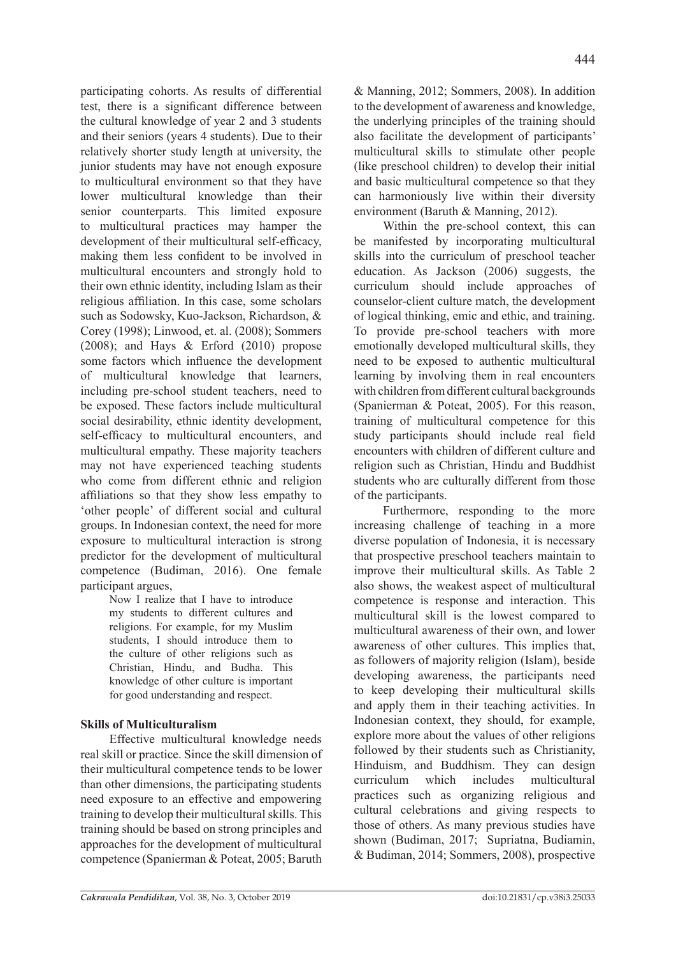participating cohorts. As results of differential test, there is a significant difference between the cultural knowledge of year 2 and 3 students and their seniors (years 4 students). Due to their relatively shorter study length at university, the junior students may have not enough exposure to multicultural environment so that they have lower multicultural knowledge than their senior counterparts. This limited exposure to multicultural practices may hamper the development of their multicultural self-efficacy, making them less confident to be involved in multicultural encounters and strongly hold to their own ethnic identity, including Islam as their religious affiliation. In this case, some scholars such as Sodowsky, Kuo-Jackson, Richardson, & Corey (1998); Linwood, et. al. (2008); Sommers (2008); and Hays & Erford (2010) propose some factors which influence the development of multicultural knowledge that learners, including pre-school student teachers, need to be exposed. These factors include multicultural social desirability, ethnic identity development, self-efficacy to multicultural encounters, and multicultural empathy. These majority teachers may not have experienced teaching students who come from different ethnic and religion affiliations so that they show less empathy to 'other people' of different social and cultural groups. In Indonesian context, the need for more exposure to multicultural interaction is strong predictor for the development of multicultural competence (Budiman, 2016). One female participant argues,

Now I realize that I have to introduce my students to different cultures and religions. For example, for my Muslim students, I should introduce them to the culture of other religions such as Christian, Hindu, and Budha. This knowledge of other culture is important for good understanding and respect.

# **Skills of Multiculturalism**

Effective multicultural knowledge needs real skill or practice. Since the skill dimension of their multicultural competence tends to be lower than other dimensions, the participating students need exposure to an effective and empowering training to develop their multicultural skills. This training should be based on strong principles and approaches for the development of multicultural competence (Spanierman & Poteat, 2005; Baruth & Manning, 2012; Sommers, 2008). In addition to the development of awareness and knowledge, the underlying principles of the training should also facilitate the development of participants' multicultural skills to stimulate other people (like preschool children) to develop their initial and basic multicultural competence so that they can harmoniously live within their diversity environment (Baruth & Manning, 2012).

Within the pre-school context, this can be manifested by incorporating multicultural skills into the curriculum of preschool teacher education. As Jackson (2006) suggests, the curriculum should include approaches of counselor-client culture match, the development of logical thinking, emic and ethic, and training. To provide pre-school teachers with more emotionally developed multicultural skills, they need to be exposed to authentic multicultural learning by involving them in real encounters with children from different cultural backgrounds (Spanierman & Poteat, 2005). For this reason, training of multicultural competence for this study participants should include real field encounters with children of different culture and religion such as Christian, Hindu and Buddhist students who are culturally different from those of the participants.

Furthermore, responding to the more increasing challenge of teaching in a more diverse population of Indonesia, it is necessary that prospective preschool teachers maintain to improve their multicultural skills. As Table 2 also shows, the weakest aspect of multicultural competence is response and interaction. This multicultural skill is the lowest compared to multicultural awareness of their own, and lower awareness of other cultures. This implies that, as followers of majority religion (Islam), beside developing awareness, the participants need to keep developing their multicultural skills and apply them in their teaching activities. In Indonesian context, they should, for example, explore more about the values of other religions followed by their students such as Christianity, Hinduism, and Buddhism. They can design curriculum which includes multicultural practices such as organizing religious and cultural celebrations and giving respects to those of others. As many previous studies have shown (Budiman, 2017; Supriatna, Budiamin, & Budiman, 2014; Sommers, 2008), prospective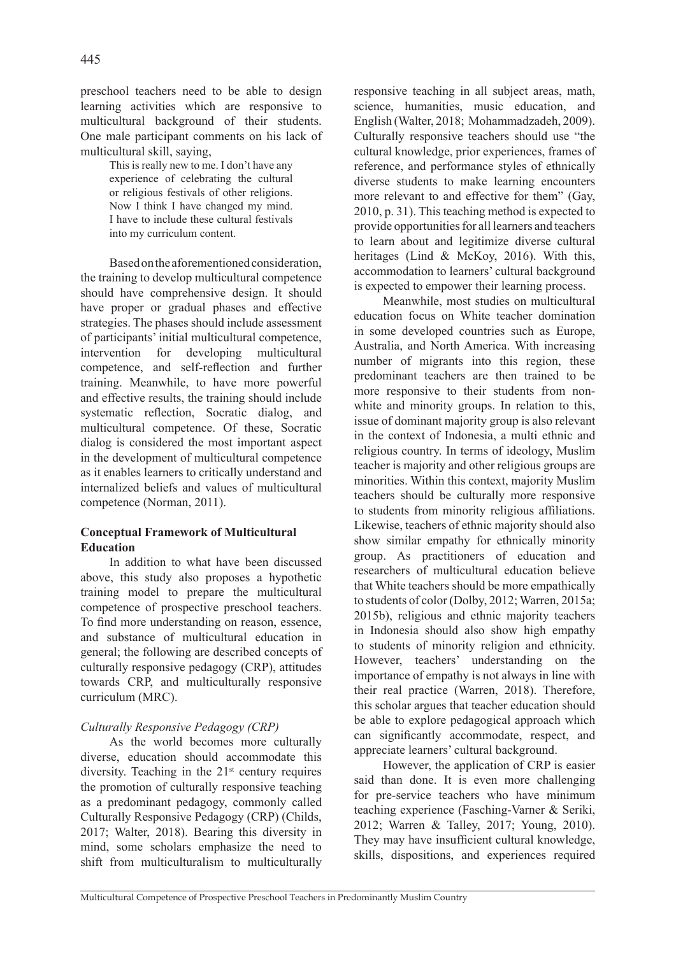preschool teachers need to be able to design learning activities which are responsive to multicultural background of their students. One male participant comments on his lack of multicultural skill, saying,

> This is really new to me. I don't have any experience of celebrating the cultural or religious festivals of other religions. Now I think I have changed my mind. I have to include these cultural festivals into my curriculum content.

Based on the aforementioned consideration, the training to develop multicultural competence should have comprehensive design. It should have proper or gradual phases and effective strategies. The phases should include assessment of participants' initial multicultural competence, intervention for developing multicultural competence, and self-reflection and further training. Meanwhile, to have more powerful and effective results, the training should include systematic reflection, Socratic dialog, and multicultural competence. Of these, Socratic dialog is considered the most important aspect in the development of multicultural competence as it enables learners to critically understand and internalized beliefs and values of multicultural competence (Norman, 2011).

## **Conceptual Framework of Multicultural Education**

In addition to what have been discussed above, this study also proposes a hypothetic training model to prepare the multicultural competence of prospective preschool teachers. To find more understanding on reason, essence, and substance of multicultural education in general; the following are described concepts of culturally responsive pedagogy (CRP), attitudes towards CRP, and multiculturally responsive curriculum (MRC).

# *Culturally Responsive Pedagogy (CRP)*

As the world becomes more culturally diverse, education should accommodate this diversity. Teaching in the  $21<sup>st</sup>$  century requires the promotion of culturally responsive teaching as a predominant pedagogy, commonly called Culturally Responsive Pedagogy (CRP) (Childs, 2017; Walter, 2018). Bearing this diversity in mind, some scholars emphasize the need to shift from multiculturalism to multiculturally responsive teaching in all subject areas, math, science, humanities, music education, and English (Walter, 2018; Mohammadzadeh, 2009). Culturally responsive teachers should use "the cultural knowledge, prior experiences, frames of reference, and performance styles of ethnically diverse students to make learning encounters more relevant to and effective for them" (Gay, 2010, p. 31). This teaching method is expected to provide opportunities for all learners and teachers to learn about and legitimize diverse cultural heritages (Lind & McKoy, 2016). With this, accommodation to learners' cultural background is expected to empower their learning process.

Meanwhile, most studies on multicultural education focus on White teacher domination in some developed countries such as Europe, Australia, and North America. With increasing number of migrants into this region, these predominant teachers are then trained to be more responsive to their students from nonwhite and minority groups. In relation to this, issue of dominant majority group is also relevant in the context of Indonesia, a multi ethnic and religious country. In terms of ideology, Muslim teacher is majority and other religious groups are minorities. Within this context, majority Muslim teachers should be culturally more responsive to students from minority religious affiliations. Likewise, teachers of ethnic majority should also show similar empathy for ethnically minority group. As practitioners of education and researchers of multicultural education believe that White teachers should be more empathically to students of color (Dolby, 2012; Warren, 2015a; 2015b), religious and ethnic majority teachers in Indonesia should also show high empathy to students of minority religion and ethnicity. However, teachers' understanding on the importance of empathy is not always in line with their real practice (Warren, 2018). Therefore, this scholar argues that teacher education should be able to explore pedagogical approach which can significantly accommodate, respect, and appreciate learners' cultural background.

However, the application of CRP is easier said than done. It is even more challenging for pre-service teachers who have minimum teaching experience (Fasching-Varner & Seriki, 2012; Warren & Talley, 2017; Young, 2010). They may have insufficient cultural knowledge, skills, dispositions, and experiences required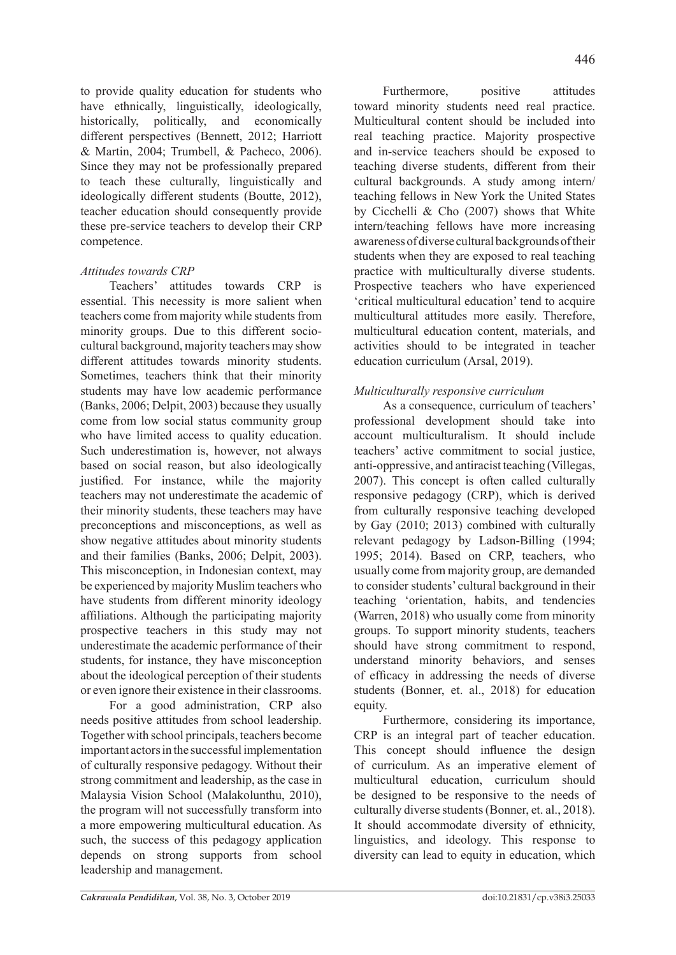to provide quality education for students who have ethnically, linguistically, ideologically, historically, politically, and economically different perspectives (Bennett, 2012; Harriott & Martin, 2004; Trumbell, & Pacheco, 2006). Since they may not be professionally prepared to teach these culturally, linguistically and ideologically different students (Boutte, 2012), teacher education should consequently provide these pre-service teachers to develop their CRP competence.

# *Attitudes towards CRP*

Teachers' attitudes towards CRP is essential. This necessity is more salient when teachers come from majority while students from minority groups. Due to this different sociocultural background, majority teachers may show different attitudes towards minority students. Sometimes, teachers think that their minority students may have low academic performance (Banks, 2006; Delpit, 2003) because they usually come from low social status community group who have limited access to quality education. Such underestimation is, however, not always based on social reason, but also ideologically justified. For instance, while the majority teachers may not underestimate the academic of their minority students, these teachers may have preconceptions and misconceptions, as well as show negative attitudes about minority students and their families (Banks, 2006; Delpit, 2003). This misconception, in Indonesian context, may be experienced by majority Muslim teachers who have students from different minority ideology affiliations. Although the participating majority prospective teachers in this study may not underestimate the academic performance of their students, for instance, they have misconception about the ideological perception of their students or even ignore their existence in their classrooms.

For a good administration, CRP also needs positive attitudes from school leadership. Together with school principals, teachers become important actors in the successful implementation of culturally responsive pedagogy. Without their strong commitment and leadership, as the case in Malaysia Vision School (Malakolunthu, 2010), the program will not successfully transform into a more empowering multicultural education. As such, the success of this pedagogy application depends on strong supports from school leadership and management.

Furthermore. positive attitudes toward minority students need real practice. Multicultural content should be included into real teaching practice. Majority prospective and in-service teachers should be exposed to teaching diverse students, different from their cultural backgrounds. A study among intern/ teaching fellows in New York the United States by Cicchelli & Cho (2007) shows that White intern/teaching fellows have more increasing awareness of diverse cultural backgrounds of their students when they are exposed to real teaching practice with multiculturally diverse students. Prospective teachers who have experienced 'critical multicultural education' tend to acquire multicultural attitudes more easily. Therefore, multicultural education content, materials, and activities should to be integrated in teacher education curriculum (Arsal, 2019).

# *Multiculturally responsive curriculum*

As a consequence, curriculum of teachers' professional development should take into account multiculturalism. It should include teachers' active commitment to social justice, anti-oppressive, and antiracist teaching (Villegas, 2007). This concept is often called culturally responsive pedagogy (CRP), which is derived from culturally responsive teaching developed by Gay (2010; 2013) combined with culturally relevant pedagogy by Ladson-Billing (1994; 1995; 2014). Based on CRP, teachers, who usually come from majority group, are demanded to consider students' cultural background in their teaching 'orientation, habits, and tendencies (Warren, 2018) who usually come from minority groups. To support minority students, teachers should have strong commitment to respond, understand minority behaviors, and senses of efficacy in addressing the needs of diverse students (Bonner, et. al., 2018) for education equity.

Furthermore, considering its importance, CRP is an integral part of teacher education. This concept should influence the design of curriculum. As an imperative element of multicultural education, curriculum should be designed to be responsive to the needs of culturally diverse students (Bonner, et. al., 2018). It should accommodate diversity of ethnicity, linguistics, and ideology. This response to diversity can lead to equity in education, which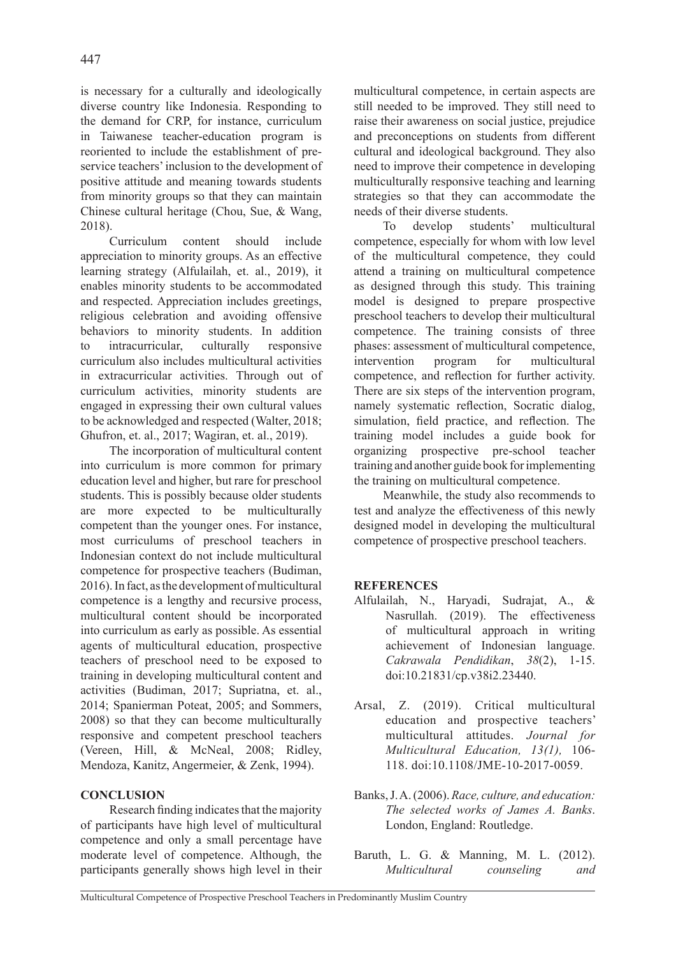is necessary for a culturally and ideologically diverse country like Indonesia. Responding to the demand for CRP, for instance, curriculum in Taiwanese teacher-education program is reoriented to include the establishment of preservice teachers' inclusion to the development of positive attitude and meaning towards students from minority groups so that they can maintain Chinese cultural heritage (Chou, Sue, & Wang, 2018).

Curriculum content should include appreciation to minority groups. As an effective learning strategy (Alfulailah, et. al., 2019), it enables minority students to be accommodated and respected. Appreciation includes greetings, religious celebration and avoiding offensive behaviors to minority students. In addition to intracurricular, culturally responsive curriculum also includes multicultural activities in extracurricular activities. Through out of curriculum activities, minority students are engaged in expressing their own cultural values to be acknowledged and respected (Walter, 2018; Ghufron, et. al., 2017; Wagiran, et. al., 2019).

The incorporation of multicultural content into curriculum is more common for primary education level and higher, but rare for preschool students. This is possibly because older students are more expected to be multiculturally competent than the younger ones. For instance, most curriculums of preschool teachers in Indonesian context do not include multicultural competence for prospective teachers (Budiman, 2016). In fact, as the development of multicultural competence is a lengthy and recursive process, multicultural content should be incorporated into curriculum as early as possible. As essential agents of multicultural education, prospective teachers of preschool need to be exposed to training in developing multicultural content and activities (Budiman, 2017; Supriatna, et. al., 2014; Spanierman Poteat, 2005; and Sommers, 2008) so that they can become multiculturally responsive and competent preschool teachers (Vereen, Hill, & McNeal, 2008; Ridley, Mendoza, Kanitz, Angermeier, & Zenk, 1994).

# **CONCLUSION**

Research finding indicates that the majority of participants have high level of multicultural competence and only a small percentage have moderate level of competence. Although, the participants generally shows high level in their multicultural competence, in certain aspects are still needed to be improved. They still need to raise their awareness on social justice, prejudice and preconceptions on students from different cultural and ideological background. They also need to improve their competence in developing multiculturally responsive teaching and learning strategies so that they can accommodate the needs of their diverse students.

To develop students' multicultural competence, especially for whom with low level of the multicultural competence, they could attend a training on multicultural competence as designed through this study. This training model is designed to prepare prospective preschool teachers to develop their multicultural competence. The training consists of three phases: assessment of multicultural competence, intervention program for multicultural competence, and reflection for further activity. There are six steps of the intervention program, namely systematic reflection, Socratic dialog, simulation, field practice, and reflection. The training model includes a guide book for organizing prospective pre-school teacher training and another guide book for implementing the training on multicultural competence.

Meanwhile, the study also recommends to test and analyze the effectiveness of this newly designed model in developing the multicultural competence of prospective preschool teachers.

# **REFERENCES**

- Alfulailah, N., Haryadi, Sudrajat, A., & Nasrullah. (2019). The effectiveness of multicultural approach in writing achievement of Indonesian language. *Cakrawala Pendidikan*, *38*(2), 1-15. doi:10.21831/cp.v38i2.23440.
- Arsal, Z. (2019). Critical multicultural education and prospective teachers' multicultural attitudes. *Journal for Multicultural Education, 13(1),* 106- 118. doi:10.1108/JME-10-2017-0059.
- Banks, J. A. (2006). *Race, culture, and education: The selected works of James A. Banks*. London, England: Routledge.
- Baruth, L. G. & Manning, M. L. (2012). *Multicultural counseling and*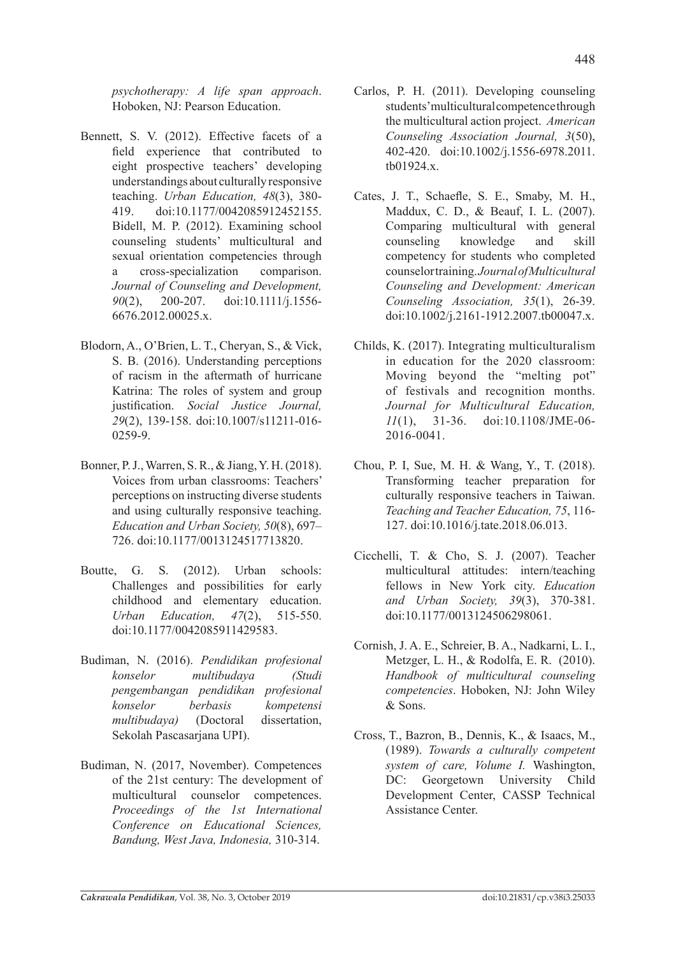*psychotherapy: A life span approach*. Hoboken, NJ: Pearson Education.

- Bennett, S. V. (2012). Effective facets of a field experience that contributed to eight prospective teachers' developing understandings about culturally responsive teaching. *Urban Education, 48*(3), 380- 419. doi:10.1177/0042085912452155. Bidell, M. P. (2012). Examining school counseling students' multicultural and sexual orientation competencies through a cross-specialization comparison. *Journal of Counseling and Development, 90*(2), 200-207. doi:10.1111/j.1556- 6676.2012.00025.x.
- Blodorn, A., O'Brien, L. T., Cheryan, S., & Vick, S. B. (2016). Understanding perceptions of racism in the aftermath of hurricane Katrina: The roles of system and group justification. *Social Justice Journal, 29*(2), 139-158. doi:10.1007/s11211-016- 0259-9.
- Bonner, P. J., Warren, S. R., & Jiang, Y. H. (2018). Voices from urban classrooms: Teachers' perceptions on instructing diverse students and using culturally responsive teaching. *Education and Urban Society, 50*(8), 697– 726. doi:10.1177/0013124517713820.
- Boutte, G. S. (2012). Urban schools: Challenges and possibilities for early childhood and elementary education. *Urban Education, 47*(2), 515-550. doi:10.1177/0042085911429583.
- Budiman, N. (2016). *Pendidikan profesional konselor multibudaya (Studi pengembangan pendidikan profesional konselor berbasis kompetensi multibudaya)* (Doctoral dissertation, Sekolah Pascasarjana UPI).
- Budiman, N. (2017, November). Competences of the 21st century: The development of multicultural counselor competences. *Proceedings of the 1st International Conference on Educational Sciences, Bandung, West Java, Indonesia,* 310-314.
- Carlos, P. H. (2011). Developing counseling students' multicultural competence through the multicultural action project. *American Counseling Association Journal, 3*(50), 402-420. doi:10.1002/j.1556-6978.2011. tb01924.x.
- Cates, J. T., Schaefle, S. E., Smaby, M. H., Maddux, C. D., & Beauf, I. L. (2007). Comparing multicultural with general counseling knowledge and skill competency for students who completed counselor training. *Journal of Multicultural Counseling and Development: American Counseling Association, 35*(1), 26-39. doi:10.1002/j.2161-1912.2007.tb00047.x.
- Childs, K. (2017). Integrating multiculturalism in education for the 2020 classroom: Moving beyond the "melting pot" of festivals and recognition months. *Journal for Multicultural Education, 11*(1), 31-36. doi:10.1108/JME-06- 2016-0041.
- Chou, P. I, Sue, M. H. & Wang, Y., T. (2018). Transforming teacher preparation for culturally responsive teachers in Taiwan. *Teaching and Teacher Education, 75*, 116- 127. doi:10.1016/j.tate.2018.06.013.
- Cicchelli, T. & Cho, S. J. (2007). Teacher multicultural attitudes: intern/teaching fellows in New York city. *Education and Urban Society, 39*(3), 370-381. doi:10.1177/0013124506298061.
- Cornish, J. A. E., Schreier, B. A., Nadkarni, L. I., Metzger, L. H., & Rodolfa, E. R. (2010). *Handbook of multicultural counseling competencies*. Hoboken, NJ: John Wiley & Sons.
- Cross, T., Bazron, B., Dennis, K., & Isaacs, M., (1989). *Towards a culturally competent system of care, Volume I.* Washington, DC: Georgetown University Child Development Center, CASSP Technical Assistance Center.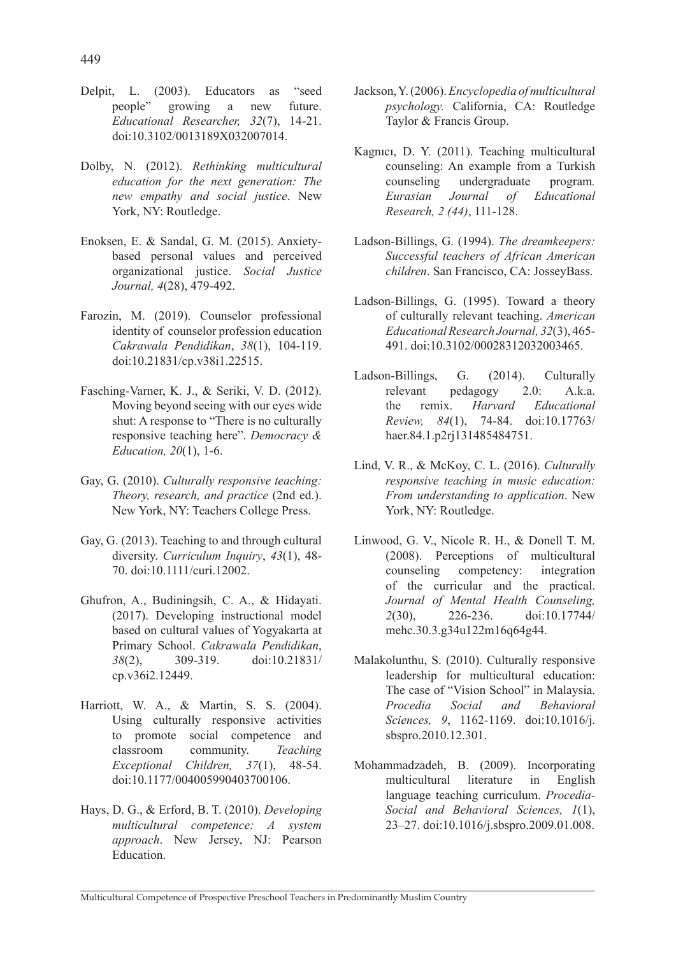- Delpit, L. (2003). Educators as "seed people" growing a new future. *Educational Researcher, 32*(7), 14-21. doi:10.3102/0013189X032007014.
- Dolby, N. (2012). *Rethinking multicultural education for the next generation: The new empathy and social justice*. New York, NY: Routledge.
- Enoksen, E. & Sandal, G. M. (2015). Anxietybased personal values and perceived organizational justice. *Social Justice Journal, 4*(28), 479-492.
- Farozin, M. (2019). Counselor professional identity of counselor profession education *Cakrawala Pendidikan*, *38*(1), 104-119. doi:10.21831/cp.v38i1.22515.
- Fasching-Varner, K. J., & Seriki, V. D. (2012). Moving beyond seeing with our eyes wide shut: A response to "There is no culturally responsive teaching here". *Democracy & Education, 20*(1), 1-6.
- Gay, G. (2010). *Culturally responsive teaching: Theory, research, and practice* (2nd ed.). New York, NY: Teachers College Press.
- Gay, G. (2013). Teaching to and through cultural diversity. *Curriculum Inquiry*, *43*(1), 48- 70. doi:10.1111/curi.12002.
- Ghufron, A., Budiningsih, C. A., & Hidayati. (2017). Developing instructional model based on cultural values of Yogyakarta at Primary School. *Cakrawala Pendidikan*, *38*(2), 309-319. doi:10.21831/ cp.v36i2.12449.
- Harriott, W. A., & Martin, S. S. (2004). Using culturally responsive activities to promote social competence and classroom community. *Teaching Exceptional Children, 37*(1), 48-54. doi:10.1177/004005990403700106.
- Hays, D. G., & Erford, B. T. (2010). *Developing multicultural competence: A system approach*. New Jersey, NJ: Pearson **Education**
- Jackson, Y. (2006). *Encyclopedia of multicultural psychology.* California, CA: Routledge Taylor & Francis Group.
- Kagnıcı, D. Y. (2011). Teaching multicultural counseling: An example from a Turkish counseling undergraduate program*. Eurasian Journal of Educational Research, 2 (44)*, 111-128.
- Ladson-Billings, G. (1994). *The dreamkeepers: Successful teachers of African American children*. San Francisco, CA: JosseyBass.
- Ladson-Billings, G. (1995). Toward a theory of culturally relevant teaching. *American Educational Research Journal, 32*(3), 465- 491. doi:10.3102/00028312032003465.
- Ladson-Billings, G. (2014). Culturally relevant pedagogy 2.0: A.k.a. the remix. *Harvard Educational Review, 84*(1), 74-84. doi:10.17763/ haer.84.1.p2rj131485484751.
- Lind, V. R., & McKoy, C. L. (2016). *Culturally responsive teaching in music education: From understanding to application*. New York, NY: Routledge.
- Linwood, G. V., Nicole R. H., & Donell T. M. (2008). Perceptions of multicultural counseling competency: integration of the curricular and the practical. *Journal of Mental Health Counseling, 2*(30), 226-236. doi:10.17744/ mehc.30.3.g34u122m16q64g44.
- Malakolunthu, S. (2010). Culturally responsive leadership for multicultural education: The case of "Vision School" in Malaysia. *Procedia Social and Behavioral Sciences, 9*, 1162-1169. doi:10.1016/j. sbspro.2010.12.301.
- Mohammadzadeh, B. (2009). Incorporating multicultural literature in English language teaching curriculum. *Procedia-Social and Behavioral Sciences, 1*(1), 23–27. doi:10.1016/j.sbspro.2009.01.008.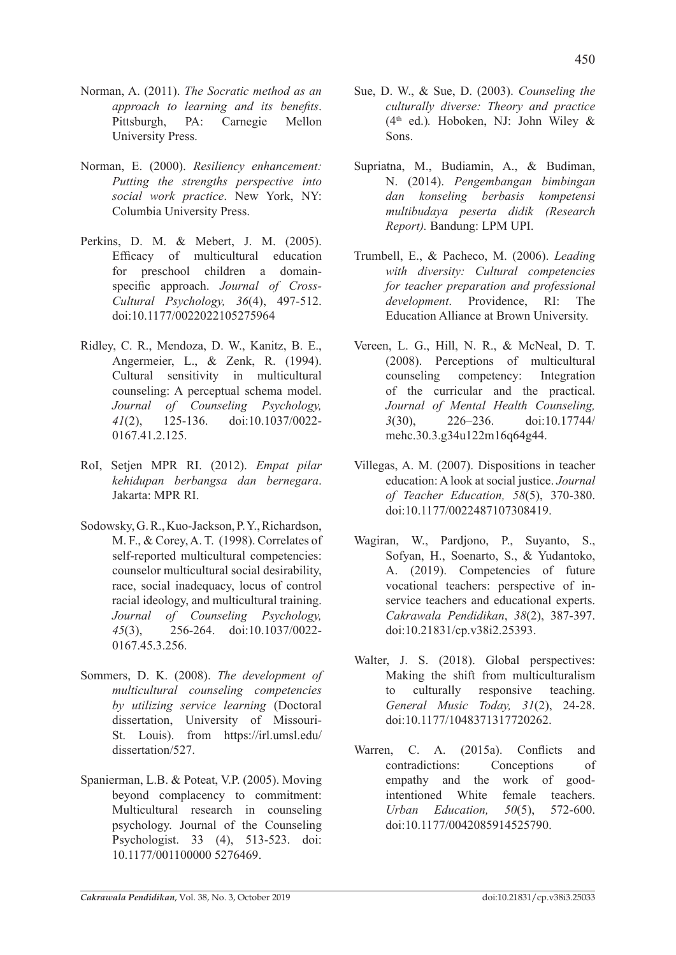- Norman, A. (2011). *The Socratic method as an approach to learning and its benefits*. Pittsburgh, PA: Carnegie Mellon University Press.
- Norman, E. (2000). *Resiliency enhancement: Putting the strengths perspective into social work practice*. New York, NY: Columbia University Press.
- Perkins, D. M. & Mebert, J. M. (2005). Efficacy of multicultural education for preschool children a domainspecific approach. *Journal of Cross-Cultural Psychology, 36*(4), 497-512. doi:10.1177/0022022105275964
- Ridley, C. R., Mendoza, D. W., Kanitz, B. E., Angermeier, L., & Zenk, R. (1994). Cultural sensitivity in multicultural counseling: A perceptual schema model. *Journal of Counseling Psychology, 41*(2), 125-136. doi:10.1037/0022- 0167.41.2.125
- RoI, Setjen MPR RI. (2012). *Empat pilar kehidupan berbangsa dan bernegara*. Jakarta: MPR RI.
- Sodowsky, G. R., Kuo-Jackson, P. Y., Richardson, M. F., & Corey, A. T. (1998). Correlates of self-reported multicultural competencies: counselor multicultural social desirability, race, social inadequacy, locus of control racial ideology, and multicultural training. *Journal of Counseling Psychology, 45*(3), 256-264. doi:10.1037/0022- 0167.45.3.256.
- Sommers, D. K. (2008). *The development of multicultural counseling competencies by utilizing service learning* (Doctoral dissertation, University of Missouri-St. Louis). from https://irl.umsl.edu/ dissertation/527.
- Spanierman, L.B. & Poteat, V.P. (2005). Moving beyond complacency to commitment: Multicultural research in counseling psychology. Journal of the Counseling Psychologist. 33 (4), 513-523. doi: 10.1177/001100000 5276469.
- Sue, D. W., & Sue, D. (2003). *Counseling the culturally diverse: Theory and practice*  (4th ed.)*.* Hoboken, NJ: John Wiley & Sons.
- Supriatna, M., Budiamin, A., & Budiman, N. (2014). *Pengembangan bimbingan dan konseling berbasis kompetensi multibudaya peserta didik (Research Report).* Bandung: LPM UPI.
- Trumbell, E., & Pacheco, M. (2006). *Leading with diversity: Cultural competencies for teacher preparation and professional development*. Providence, RI: The Education Alliance at Brown University.
- Vereen, L. G., Hill, N. R., & McNeal, D. T. (2008). Perceptions of multicultural counseling competency: Integration of the curricular and the practical. *Journal of Mental Health Counseling, 3*(30), 226–236. doi:10.17744/ mehc.30.3.g34u122m16q64g44.
- Villegas, A. M. (2007). Dispositions in teacher education: A look at social justice. *Journal of Teacher Education, 58*(5), 370-380. doi:10.1177/0022487107308419.
- Wagiran, W., Pardiono, P., Suvanto, S., Sofyan, H., Soenarto, S., & Yudantoko, A. (2019). Competencies of future vocational teachers: perspective of inservice teachers and educational experts. *Cakrawala Pendidikan*, *38*(2), 387-397. doi:10.21831/cp.v38i2.25393.
- Walter, J. S. (2018). Global perspectives: Making the shift from multiculturalism to culturally responsive teaching. *General Music Today, 31*(2), 24-28. doi:10.1177/1048371317720262.
- Warren, C. A. (2015a). Conflicts and contradictions: Conceptions of empathy and the work of goodintentioned White female teachers. *Urban Education, 50*(5), 572-600. doi:10.1177/0042085914525790.